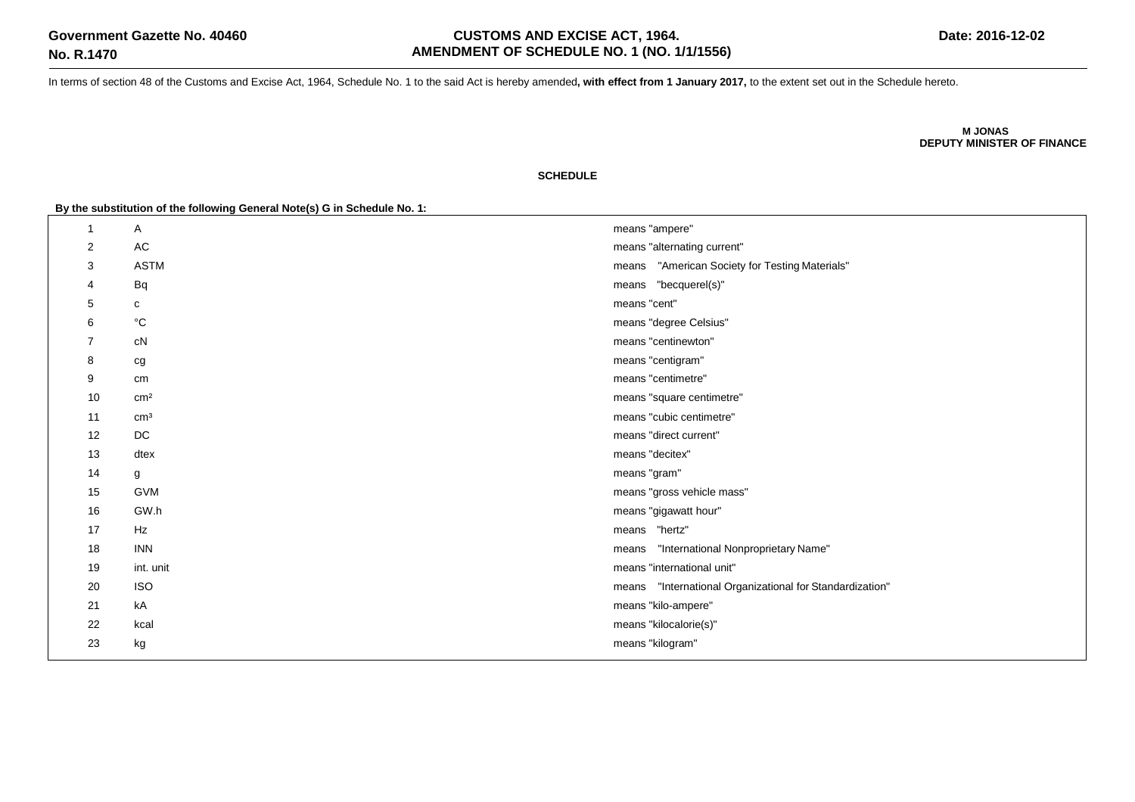In terms of section 48 of the Customs and Excise Act, 1964, Schedule No. 1 to the said Act is hereby amended**, with effect from 1 January 2017,** to the extent set out in the Schedule hereto.

**M JONAS DEPUTY MINISTER OF FINANCE**

## **SCHEDULE**

**By the substitution of the following General Note(s) G in Schedule No. 1:**

| -1 |    | Α                 | means "ampere"                                           |
|----|----|-------------------|----------------------------------------------------------|
| 2  |    | $\mathsf{AC}$     | means "alternating current"                              |
| 3  |    | <b>ASTM</b>       | means "American Society for Testing Materials"           |
| 4  |    | Bq                | means "becquerel(s)"                                     |
| 5  |    | с                 | means "cent"                                             |
| 6  |    | $^{\circ}{\rm C}$ | means "degree Celsius"                                   |
| 7  |    | cN                | means "centinewton"                                      |
| 8  |    | cg                | means "centigram"                                        |
| 9  |    | cm                | means "centimetre"                                       |
|    | 10 | cm <sup>2</sup>   | means "square centimetre"                                |
|    | 11 | $\text{cm}^3$     | means "cubic centimetre"                                 |
|    | 12 | DC                | means "direct current"                                   |
|    | 13 | dtex              | means "decitex"                                          |
|    | 14 | g                 | means "gram"                                             |
|    | 15 | <b>GVM</b>        | means "gross vehicle mass"                               |
|    | 16 | GW.h              | means "gigawatt hour"                                    |
|    | 17 | Hz                | means "hertz"                                            |
|    | 18 | <b>INN</b>        | "International Nonproprietary Name"<br>means             |
|    | 19 | int. unit         | means "international unit"                               |
|    | 20 | <b>ISO</b>        | means "International Organizational for Standardization" |
|    | 21 | kA                | means "kilo-ampere"                                      |
|    | 22 | kcal              | means "kilocalorie(s)"                                   |
|    | 23 | kg                | means "kilogram"                                         |
|    |    |                   |                                                          |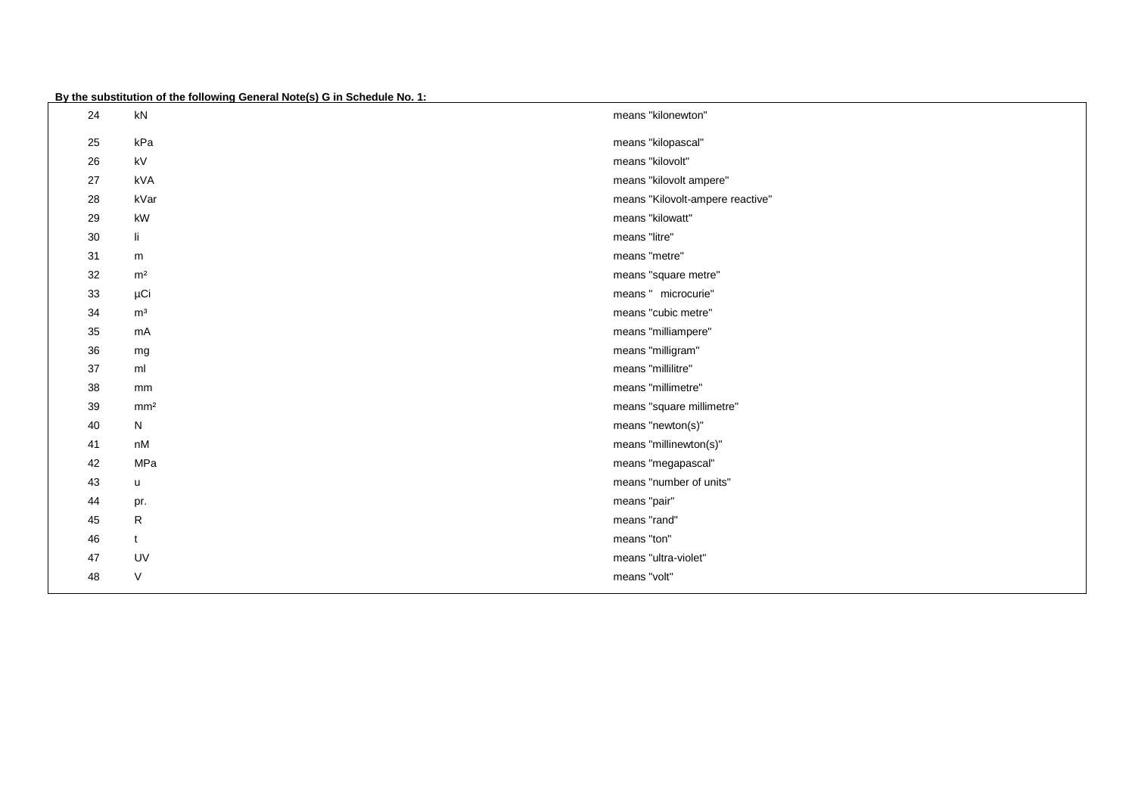**By the substitution of the following General Note(s) G in Schedule No. 1:**

| 24 | kN                     | means "kilonewton"               |
|----|------------------------|----------------------------------|
| 25 | kPa                    | means "kilopascal"               |
| 26 | kV                     | means "kilovolt"                 |
| 27 | kVA                    | means "kilovolt ampere"          |
| 28 | kVar                   | means "Kilovolt-ampere reactive" |
| 29 | kW                     | means "kilowatt"                 |
| 30 | li.                    | means "litre"                    |
| 31 | m                      | means "metre"                    |
| 32 | m <sup>2</sup>         | means "square metre"             |
| 33 | μCi                    | means " microcurie"              |
| 34 | m <sup>3</sup>         | means "cubic metre"              |
| 35 | mA                     | means "milliampere"              |
| 36 | mg                     | means "milligram"                |
| 37 | ml                     | means "millilitre"               |
| 38 | mm                     | means "millimetre"               |
| 39 | mm <sup>2</sup>        | means "square millimetre"        |
| 40 | N                      | means "newton(s)"                |
| 41 | $\mathsf{n}\mathsf{M}$ | means "millinewton(s)"           |
| 42 | MPa                    | means "megapascal"               |
| 43 | u                      | means "number of units"          |
| 44 | pr.                    | means "pair"                     |
| 45 | R                      | means "rand"                     |
| 46 | t                      | means "ton"                      |
| 47 | UV                     | means "ultra-violet"             |
| 48 | $\vee$                 | means "volt"                     |
|    |                        |                                  |